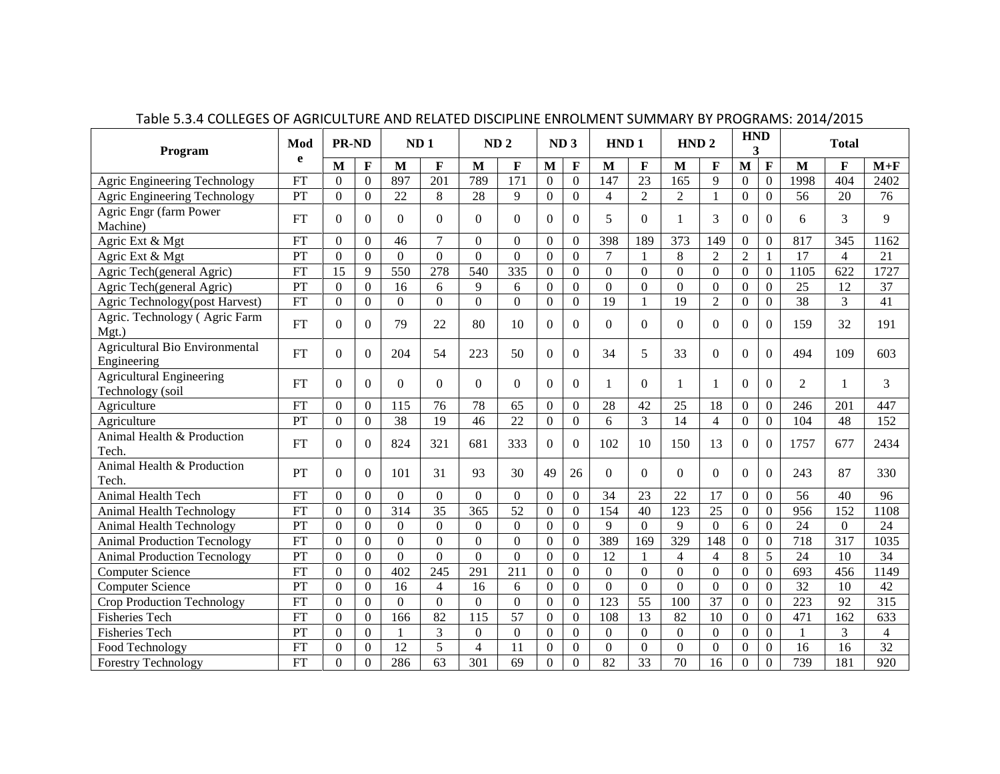| Program                                             | Mod       | <b>PR-ND</b>   |                | ND <sub>1</sub>  |                 | ND <sub>2</sub> |                  | ND <sub>3</sub>  |                | HND <sub>1</sub> |                 | HND <sub>2</sub> |                | <b>HND</b><br>3  |                  | <b>Total</b>     |                 |                 |
|-----------------------------------------------------|-----------|----------------|----------------|------------------|-----------------|-----------------|------------------|------------------|----------------|------------------|-----------------|------------------|----------------|------------------|------------------|------------------|-----------------|-----------------|
|                                                     | e         | M              | $\mathbf{F}$   | M                | F               | M               | F                | $\mathbf{M}$     | F              | M                | F               | M                | F              | M                | F                | M                | F               | $M+F$           |
| Agric Engineering Technology                        | <b>FT</b> | $\theta$       | $\mathbf{0}$   | 897              | 201             | 789             | $\overline{171}$ | $\overline{0}$   | $\mathbf{0}$   | 147              | $\overline{23}$ | 165              | $\overline{Q}$ | $\Omega$         | $\mathbf{0}$     | 1998             | 404             | 2402            |
| Agric Engineering Technology                        | PT        | $\overline{0}$ | $\Omega$       | 22               | 8               | 28              | 9                | $\overline{0}$   | $\mathbf{0}$   | $\overline{4}$   | $\overline{2}$  | $\overline{2}$   |                | $\theta$         | $\mathbf{0}$     | 56               | 20              | 76              |
| Agric Engr (farm Power<br>Machine)                  | <b>FT</b> | $\theta$       | $\Omega$       | $\Omega$         | $\Omega$        | $\Omega$        | $\Omega$         | $\Omega$         | $\Omega$       | 5                | $\theta$        | 1                | 3              | $\theta$         | $\Omega$         | 6                | 3               | 9               |
| Agric Ext & Mgt                                     | <b>FT</b> | $\theta$       | $\overline{0}$ | 46               | $\overline{7}$  | $\Omega$        | $\Omega$         | $\theta$         | $\overline{0}$ | 398              | 189             | 373              | 149            | $\theta$         | $\overline{0}$   | 817              | 345             | 1162            |
| Agric Ext & Mgt                                     | PT        | $\Omega$       | $\Omega$       | $\mathbf{0}$     | $\Omega$        | $\Omega$        | $\Omega$         | $\theta$         | $\mathbf{0}$   | $\overline{7}$   |                 | 8                | $\overline{2}$ | $\overline{2}$   |                  | 17               | $\overline{4}$  | 21              |
| Agric Tech(general Agric)                           | <b>FT</b> | 15             | 9              | 550              | 278             | 540             | 335              | $\overline{0}$   | $\Omega$       | $\Omega$         | $\Omega$        | $\Omega$         | $\theta$       | $\Omega$         | $\Omega$         | 1105             | 622             | 1727            |
| Agric Tech(general Agric)                           | PT        | $\Omega$       | $\overline{0}$ | 16               | 6               | $\mathbf{Q}$    | 6                | $\Omega$         | $\Omega$       | $\Omega$         | $\Omega$        | $\Omega$         | $\Omega$       | $\theta$         | $\Omega$         | 25               | 12              | 37              |
| Agric Technology(post Harvest)                      | FT        | $\Omega$       | $\theta$       | $\boldsymbol{0}$ | $\Omega$        | $\Omega$        | $\Omega$         | $\Omega$         | $\Omega$       | 19               |                 | 19               | $\overline{2}$ | $\Omega$         | $\boldsymbol{0}$ | 38               | 3               | 41              |
| Agric. Technology (Agric Farm<br>$Mgt.$ )           | FT        | $\Omega$       | $\Omega$       | 79               | 22              | 80              | 10               | 0                | $\Omega$       | $\Omega$         | $\Omega$        | 0                | $\Omega$       | $\Omega$         | $\Omega$         | 159              | 32              | 191             |
| Agricultural Bio Environmental<br>Engineering       | FT        | $\Omega$       | $\Omega$       | 204              | 54              | 223             | 50               | 0                | $\Omega$       | 34               | 5               | 33               | $\Omega$       | $\Omega$         | $\Omega$         | 494              | 109             | 603             |
| <b>Agricultural Engineering</b><br>Technology (soil | FT        | $\Omega$       | $\Omega$       | $\Omega$         | $\Omega$        | $\Omega$        | $\Omega$         | $\Omega$         | $\Omega$       | 1                | $\Omega$        |                  |                | $\Omega$         | $\Omega$         | 2                |                 | 3               |
| Agriculture                                         | <b>FT</b> | $\theta$       | $\Omega$       | 115              | 76              | 78              | 65               | $\boldsymbol{0}$ | $\mathbf{0}$   | 28               | 42              | 25               | 18             | $\Omega$         | $\Omega$         | 246              | 201             | 447             |
| Agriculture                                         | PT        | $\theta$       | $\Omega$       | 38               | 19              | 46              | 22               | $\boldsymbol{0}$ | $\Omega$       | 6                | 3               | 14               | $\overline{4}$ | $\Omega$         | $\overline{0}$   | 104              | 48              | 152             |
| Animal Health & Production<br>Tech.                 | FT        | $\Omega$       | $\Omega$       | 824              | 321             | 681             | 333              | $\Omega$         | $\Omega$       | 102              | 10              | 150              | 13             | $\Omega$         | $\Omega$         | 1757             | 677             | 2434            |
| Animal Health & Production<br>Tech.                 | PT        | $\Omega$       | $\Omega$       | 101              | 31              | 93              | 30               | 49               | 26             | $\Omega$         | $\Omega$        | $\Omega$         | $\Omega$       | $\Omega$         | $\Omega$         | 243              | 87              | 330             |
| Animal Health Tech                                  | <b>FT</b> | $\Omega$       | $\Omega$       | $\Omega$         | $\Omega$        | $\Omega$        | $\Omega$         | $\Omega$         | $\Omega$       | 34               | 23              | 22               | 17             | $\Omega$         | $\Omega$         | 56               | 40              | 96              |
| Animal Health Technology                            | FT        | $\theta$       | $\theta$       | 314              | $\overline{35}$ | 365             | 52               | $\overline{0}$   | $\Omega$       | 154              | 40              | 123              | 25             | $\Omega$         | $\Omega$         | 956              | 152             | 1108            |
| Animal Health Technology                            | PT        | $\Omega$       | $\Omega$       | $\mathbf{0}$     | $\Omega$        | $\Omega$        | $\Omega$         | $\overline{0}$   | $\overline{0}$ | 9                | $\Omega$        | $\mathbf{Q}$     | $\Omega$       | 6                | $\Omega$         | $\overline{24}$  | $\Omega$        | 24              |
| <b>Animal Production Tecnology</b>                  | <b>FT</b> | $\Omega$       | $\theta$       | $\mathbf{0}$     | $\Omega$        | $\Omega$        | $\Omega$         | $\Omega$         | $\Omega$       | 389              | 169             | 329              | 148            | $\mathbf{0}$     | $\overline{0}$   | 718              | 317             | 1035            |
| <b>Animal Production Tecnology</b>                  | PT        | $\overline{0}$ | $\overline{0}$ | $\overline{0}$   | $\Omega$        | $\Omega$        | $\overline{0}$   | $\overline{0}$   | $\Omega$       | 12               |                 | $\overline{4}$   | 4              | 8                | 5                | 24               | 10              | 34              |
| <b>Computer Science</b>                             | <b>FT</b> | $\theta$       | $\Omega$       | 402              | 245             | 291             | 211              | $\Omega$         | $\theta$       | $\mathbf{0}$     | $\Omega$        | $\Omega$         | $\Omega$       | $\Omega$         | $\overline{0}$   | 693              | 456             | 1149            |
| <b>Computer Science</b>                             | PT        | $\theta$       | $\theta$       | 16               | 4               | 16              | 6                | $\theta$         | $\Omega$       | $\Omega$         | $\overline{0}$  | $\Omega$         | $\Omega$       | $\Omega$         | $\boldsymbol{0}$ | $\overline{32}$  | 10              | 42              |
| Crop Production Technology                          | <b>FT</b> | $\overline{0}$ | $\Omega$       | $\overline{0}$   | $\Omega$        | $\Omega$        | $\Omega$         | $\overline{0}$   | $\Omega$       | $\overline{123}$ | $\overline{55}$ | $\overline{100}$ | 37             | $\Omega$         | $\overline{0}$   | $\overline{223}$ | $\overline{92}$ | 315             |
| <b>Fisheries Tech</b>                               | <b>FT</b> | $\theta$       | $\Omega$       | 166              | $\overline{82}$ | 115             | $\overline{57}$  | $\overline{0}$   | $\theta$       | 108              | 13              | 82               | 10             | $\Omega$         | $\overline{0}$   | 471              | 162             | 633             |
| <b>Fisheries Tech</b>                               | PT        | $\overline{0}$ | $\overline{0}$ | 1                | 3               | $\Omega$        | $\Omega$         | $\overline{0}$   | $\mathbf{0}$   | $\overline{0}$   | $\overline{0}$  | $\mathbf{0}$     | $\overline{0}$ | $\boldsymbol{0}$ | $\overline{0}$   | 1                | 3               | $\overline{4}$  |
| Food Technology                                     | <b>FT</b> | $\theta$       | $\theta$       | $\overline{12}$  | $\overline{5}$  | $\overline{4}$  | 11               | $\theta$         | $\Omega$       | $\Omega$         | $\overline{0}$  | $\Omega$         | $\theta$       | $\theta$         | $\overline{0}$   | 16               | 16              | $\overline{32}$ |
| <b>Forestry Technology</b>                          | <b>FT</b> | $\theta$       | $\Omega$       | 286              | 63              | 301             | 69               | $\Omega$         | $\theta$       | 82               | 33              | 70               | 16             | $\Omega$         | $\Omega$         | 739              | 181             | 920             |

Table 5.3.4 COLLEGES OF AGRICULTURE AND RELATED DISCIPLINE ENROLMENT SUMMARY BY PROGRAMS: 2014/2015